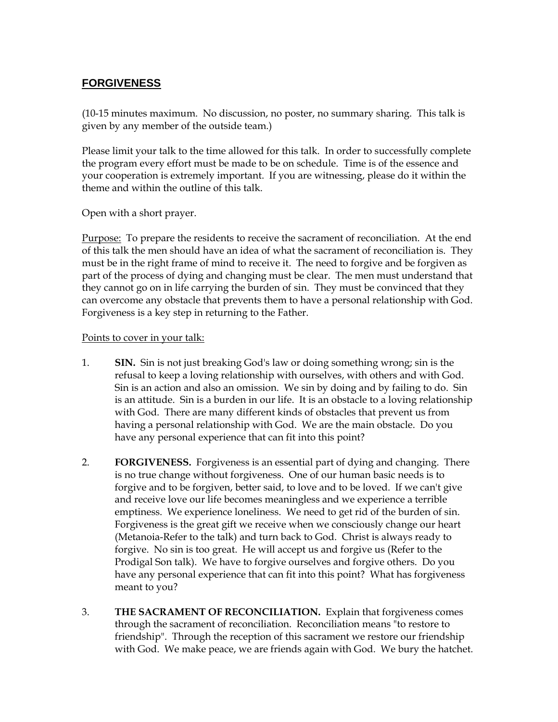## **FORGIVENESS**

(10-15 minutes maximum. No discussion, no poster, no summary sharing. This talk is given by any member of the outside team.)

Please limit your talk to the time allowed for this talk. In order to successfully complete the program every effort must be made to be on schedule. Time is of the essence and your cooperation is extremely important. If you are witnessing, please do it within the theme and within the outline of this talk.

Open with a short prayer.

Purpose: To prepare the residents to receive the sacrament of reconciliation. At the end of this talk the men should have an idea of what the sacrament of reconciliation is. They must be in the right frame of mind to receive it. The need to forgive and be forgiven as part of the process of dying and changing must be clear. The men must understand that they cannot go on in life carrying the burden of sin. They must be convinced that they can overcome any obstacle that prevents them to have a personal relationship with God. Forgiveness is a key step in returning to the Father.

## Points to cover in your talk:

- 1. **SIN.** Sin is not just breaking God's law or doing something wrong; sin is the refusal to keep a loving relationship with ourselves, with others and with God. Sin is an action and also an omission. We sin by doing and by failing to do. Sin is an attitude. Sin is a burden in our life. It is an obstacle to a loving relationship with God. There are many different kinds of obstacles that prevent us from having a personal relationship with God. We are the main obstacle. Do you have any personal experience that can fit into this point?
- 2. **FORGIVENESS.** Forgiveness is an essential part of dying and changing. There is no true change without forgiveness. One of our human basic needs is to forgive and to be forgiven, better said, to love and to be loved. If we can't give and receive love our life becomes meaningless and we experience a terrible emptiness. We experience loneliness. We need to get rid of the burden of sin. Forgiveness is the great gift we receive when we consciously change our heart (Metanoia-Refer to the talk) and turn back to God. Christ is always ready to forgive. No sin is too great. He will accept us and forgive us (Refer to the Prodigal Son talk). We have to forgive ourselves and forgive others. Do you have any personal experience that can fit into this point? What has forgiveness meant to you?
- 3. **THE SACRAMENT OF RECONCILIATION.** Explain that forgiveness comes through the sacrament of reconciliation. Reconciliation means "to restore to friendship". Through the reception of this sacrament we restore our friendship with God. We make peace, we are friends again with God. We bury the hatchet.